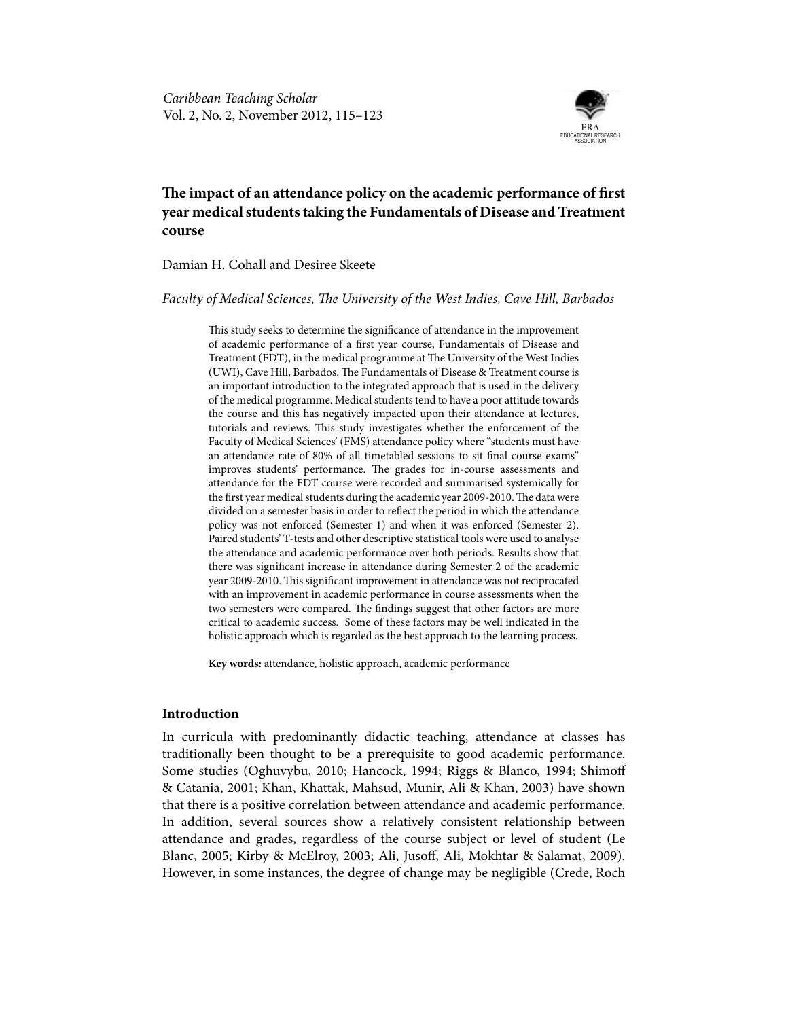

# **The impact of an attendance policy on the academic performance of first year medical students taking the Fundamentals of Disease and Treatment course**

# Damian H. Cohall and Desiree Skeete

*Faculty of Medical Sciences, The University of the West Indies, Cave Hill, Barbados*

This study seeks to determine the significance of attendance in the improvement of academic performance of a first year course, Fundamentals of Disease and Treatment (FDT), in the medical programme at The University of the West Indies (UWI), Cave Hill, Barbados. The Fundamentals of Disease & Treatment course is an important introduction to the integrated approach that is used in the delivery of the medical programme. Medical students tend to have a poor attitude towards the course and this has negatively impacted upon their attendance at lectures, tutorials and reviews. This study investigates whether the enforcement of the Faculty of Medical Sciences' (FMS) attendance policy where "students must have an attendance rate of 80% of all timetabled sessions to sit final course exams" improves students' performance. The grades for in-course assessments and attendance for the FDT course were recorded and summarised systemically for the first year medical students during the academic year 2009-2010. The data were divided on a semester basis in order to reflect the period in which the attendance policy was not enforced (Semester 1) and when it was enforced (Semester 2). Paired students' T-tests and other descriptive statistical tools were used to analyse the attendance and academic performance over both periods. Results show that there was significant increase in attendance during Semester 2 of the academic year 2009-2010. This significant improvement in attendance was not reciprocated with an improvement in academic performance in course assessments when the two semesters were compared. The findings suggest that other factors are more critical to academic success. Some of these factors may be well indicated in the holistic approach which is regarded as the best approach to the learning process.

**Key words:** attendance, holistic approach, academic performance

# **Introduction**

In curricula with predominantly didactic teaching, attendance at classes has traditionally been thought to be a prerequisite to good academic performance. Some studies (Oghuvybu, 2010; Hancock, 1994; Riggs & Blanco, 1994; Shimoff & Catania, 2001; Khan, Khattak, Mahsud, Munir, Ali & Khan, 2003) have shown that there is a positive correlation between attendance and academic performance. In addition, several sources show a relatively consistent relationship between attendance and grades, regardless of the course subject or level of student (Le Blanc, 2005; Kirby & McElroy, 2003; Ali, Jusoff, Ali, Mokhtar & Salamat, 2009). However, in some instances, the degree of change may be negligible (Crede, Roch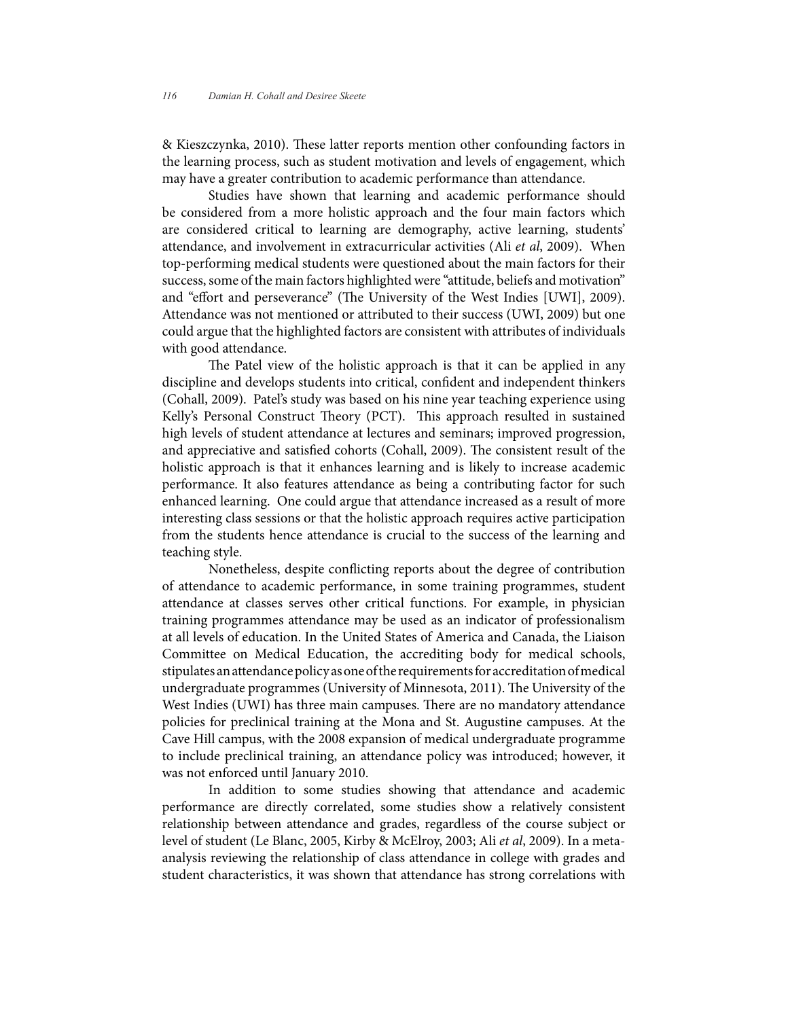& Kieszczynka, 2010). These latter reports mention other confounding factors in the learning process, such as student motivation and levels of engagement, which may have a greater contribution to academic performance than attendance.

Studies have shown that learning and academic performance should be considered from a more holistic approach and the four main factors which are considered critical to learning are demography, active learning, students' attendance, and involvement in extracurricular activities (Ali *et al*, 2009). When top-performing medical students were questioned about the main factors for their success, some of the main factors highlighted were "attitude, beliefs and motivation" and "effort and perseverance" (The University of the West Indies [UWI], 2009). Attendance was not mentioned or attributed to their success (UWI, 2009) but one could argue that the highlighted factors are consistent with attributes of individuals with good attendance.

The Patel view of the holistic approach is that it can be applied in any discipline and develops students into critical, confident and independent thinkers (Cohall, 2009). Patel's study was based on his nine year teaching experience using Kelly's Personal Construct Theory (PCT). This approach resulted in sustained high levels of student attendance at lectures and seminars; improved progression, and appreciative and satisfied cohorts (Cohall, 2009). The consistent result of the holistic approach is that it enhances learning and is likely to increase academic performance. It also features attendance as being a contributing factor for such enhanced learning. One could argue that attendance increased as a result of more interesting class sessions or that the holistic approach requires active participation from the students hence attendance is crucial to the success of the learning and teaching style.

Nonetheless, despite conflicting reports about the degree of contribution of attendance to academic performance, in some training programmes, student attendance at classes serves other critical functions. For example, in physician training programmes attendance may be used as an indicator of professionalism at all levels of education. In the United States of America and Canada, the Liaison Committee on Medical Education, the accrediting body for medical schools, stipulates an attendance policy as one of the requirements for accreditation of medical undergraduate programmes (University of Minnesota, 2011). The University of the West Indies (UWI) has three main campuses. There are no mandatory attendance policies for preclinical training at the Mona and St. Augustine campuses. At the Cave Hill campus, with the 2008 expansion of medical undergraduate programme to include preclinical training, an attendance policy was introduced; however, it was not enforced until January 2010.

In addition to some studies showing that attendance and academic performance are directly correlated, some studies show a relatively consistent relationship between attendance and grades, regardless of the course subject or level of student (Le Blanc, 2005, Kirby & McElroy, 2003; Ali *et al*, 2009). In a metaanalysis reviewing the relationship of class attendance in college with grades and student characteristics, it was shown that attendance has strong correlations with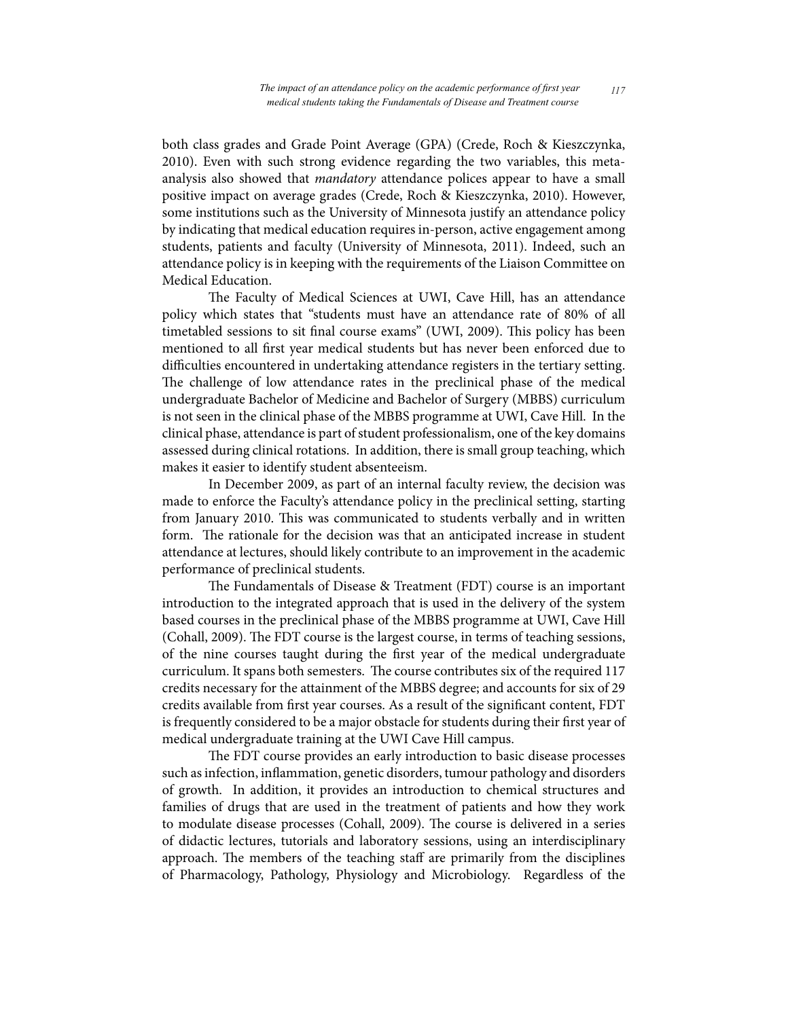both class grades and Grade Point Average (GPA) (Crede, Roch & Kieszczynka, 2010). Even with such strong evidence regarding the two variables, this metaanalysis also showed that *mandatory* attendance polices appear to have a small positive impact on average grades (Crede, Roch & Kieszczynka, 2010). However, some institutions such as the University of Minnesota justify an attendance policy by indicating that medical education requires in-person, active engagement among students, patients and faculty (University of Minnesota, 2011). Indeed, such an attendance policy is in keeping with the requirements of the Liaison Committee on Medical Education.

The Faculty of Medical Sciences at UWI, Cave Hill, has an attendance policy which states that "students must have an attendance rate of 80% of all timetabled sessions to sit final course exams" (UWI, 2009). This policy has been mentioned to all first year medical students but has never been enforced due to difficulties encountered in undertaking attendance registers in the tertiary setting. The challenge of low attendance rates in the preclinical phase of the medical undergraduate Bachelor of Medicine and Bachelor of Surgery (MBBS) curriculum is not seen in the clinical phase of the MBBS programme at UWI, Cave Hill. In the clinical phase, attendance is part of student professionalism, one of the key domains assessed during clinical rotations. In addition, there is small group teaching, which makes it easier to identify student absenteeism.

In December 2009, as part of an internal faculty review, the decision was made to enforce the Faculty's attendance policy in the preclinical setting, starting from January 2010. This was communicated to students verbally and in written form. The rationale for the decision was that an anticipated increase in student attendance at lectures, should likely contribute to an improvement in the academic performance of preclinical students.

The Fundamentals of Disease & Treatment (FDT) course is an important introduction to the integrated approach that is used in the delivery of the system based courses in the preclinical phase of the MBBS programme at UWI, Cave Hill (Cohall, 2009). The FDT course is the largest course, in terms of teaching sessions, of the nine courses taught during the first year of the medical undergraduate curriculum. It spans both semesters. The course contributes six of the required 117 credits necessary for the attainment of the MBBS degree; and accounts for six of 29 credits available from first year courses. As a result of the significant content, FDT is frequently considered to be a major obstacle for students during their first year of medical undergraduate training at the UWI Cave Hill campus.

The FDT course provides an early introduction to basic disease processes such as infection, inflammation, genetic disorders, tumour pathology and disorders of growth. In addition, it provides an introduction to chemical structures and families of drugs that are used in the treatment of patients and how they work to modulate disease processes (Cohall, 2009). The course is delivered in a series of didactic lectures, tutorials and laboratory sessions, using an interdisciplinary approach. The members of the teaching staff are primarily from the disciplines of Pharmacology, Pathology, Physiology and Microbiology. Regardless of the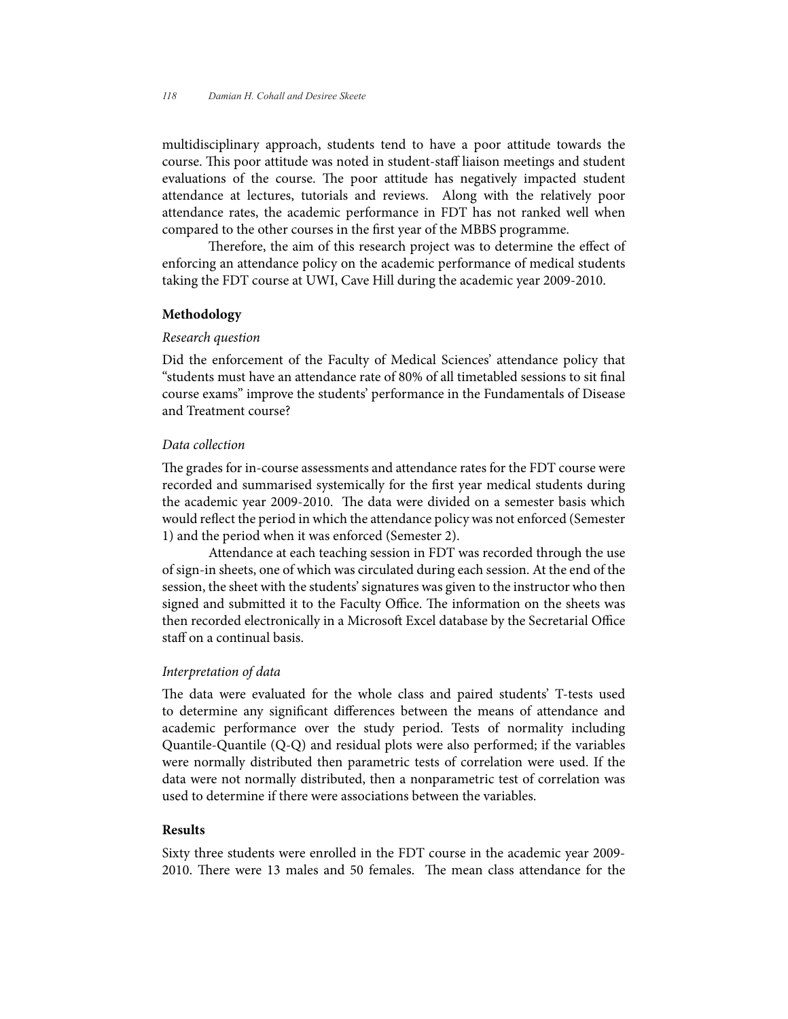multidisciplinary approach, students tend to have a poor attitude towards the course. This poor attitude was noted in student-staff liaison meetings and student evaluations of the course. The poor attitude has negatively impacted student attendance at lectures, tutorials and reviews. Along with the relatively poor attendance rates, the academic performance in FDT has not ranked well when compared to the other courses in the first year of the MBBS programme.

Therefore, the aim of this research project was to determine the effect of enforcing an attendance policy on the academic performance of medical students taking the FDT course at UWI, Cave Hill during the academic year 2009-2010.

#### **Methodology**

#### *Research question*

Did the enforcement of the Faculty of Medical Sciences' attendance policy that "students must have an attendance rate of 80% of all timetabled sessions to sit final course exams" improve the students' performance in the Fundamentals of Disease and Treatment course?

## *Data collection*

The grades for in-course assessments and attendance rates for the FDT course were recorded and summarised systemically for the first year medical students during the academic year 2009-2010. The data were divided on a semester basis which would reflect the period in which the attendance policy was not enforced (Semester 1) and the period when it was enforced (Semester 2).

Attendance at each teaching session in FDT was recorded through the use of sign-in sheets, one of which was circulated during each session. At the end of the session, the sheet with the students' signatures was given to the instructor who then signed and submitted it to the Faculty Office. The information on the sheets was then recorded electronically in a Microsoft Excel database by the Secretarial Office staff on a continual basis.

# *Interpretation of data*

The data were evaluated for the whole class and paired students' T-tests used to determine any significant differences between the means of attendance and academic performance over the study period. Tests of normality including Quantile-Quantile (Q-Q) and residual plots were also performed; if the variables were normally distributed then parametric tests of correlation were used. If the data were not normally distributed, then a nonparametric test of correlation was used to determine if there were associations between the variables.

## **Results**

Sixty three students were enrolled in the FDT course in the academic year 2009- 2010. There were 13 males and 50 females. The mean class attendance for the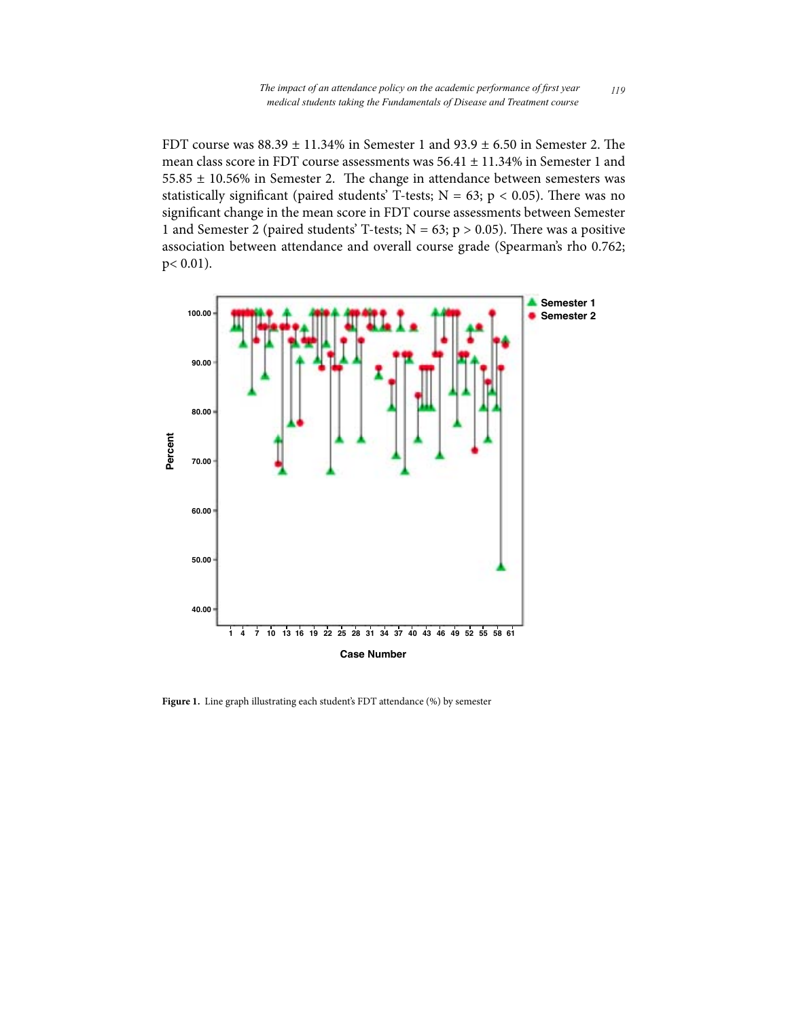FDT course was  $88.39 \pm 11.34\%$  in Semester 1 and  $93.9 \pm 6.50$  in Semester 2. The mean class score in FDT course assessments was 56.41 ± 11.34% in Semester 1 and 55.85 ± 10.56% in Semester 2. The change in attendance between semesters was statistically significant (paired students' T-tests;  $N = 63$ ;  $p < 0.05$ ). There was no significant change in the mean score in FDT course assessments between Semester 1 and Semester 2 (paired students' T-tests;  $N = 63$ ;  $p > 0.05$ ). There was a positive association between attendance and overall course grade (Spearman's rho 0.762; p< 0.01).



**Figure 1.** Line graph illustrating each student's FDT attendance (%) by semester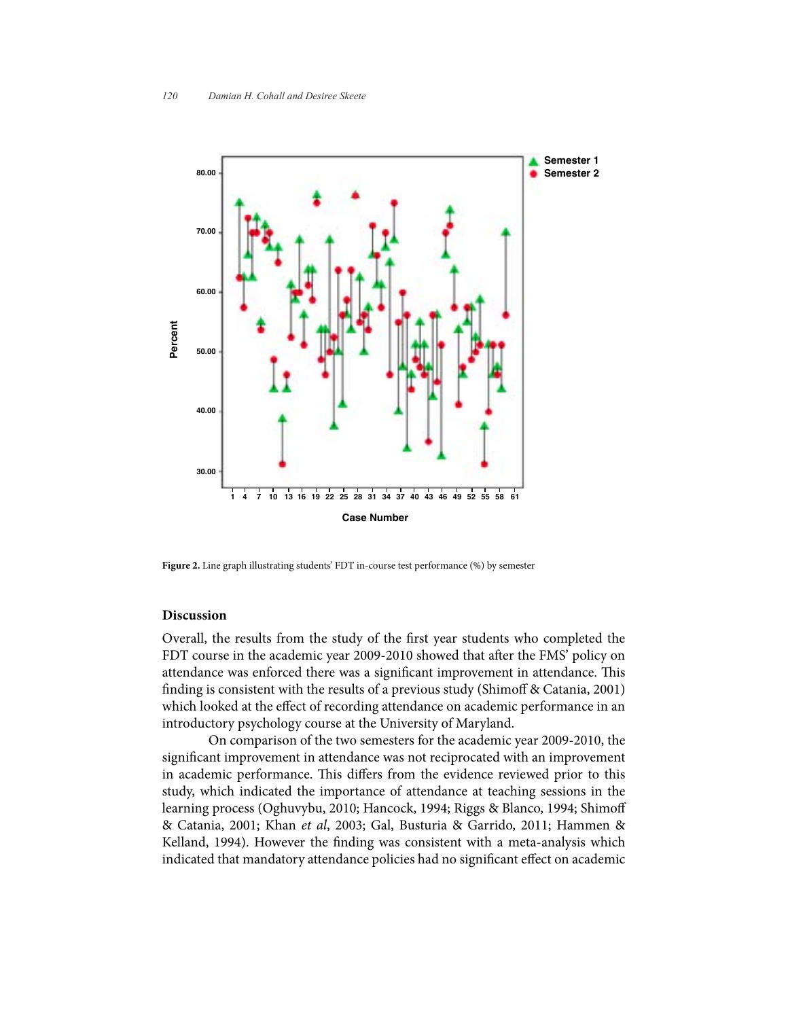

**Figure 2.** Line graph illustrating students' FDT in-course test performance (%) by semester

## **Discussion**

Overall, the results from the study of the first year students who completed the FDT course in the academic year 2009-2010 showed that after the FMS' policy on attendance was enforced there was a significant improvement in attendance. This finding is consistent with the results of a previous study (Shimoff & Catania, 2001) which looked at the effect of recording attendance on academic performance in an introductory psychology course at the University of Maryland.

On comparison of the two semesters for the academic year 2009-2010, the significant improvement in attendance was not reciprocated with an improvement in academic performance. This differs from the evidence reviewed prior to this study, which indicated the importance of attendance at teaching sessions in the learning process (Oghuvybu, 2010; Hancock, 1994; Riggs & Blanco, 1994; Shimoff & Catania, 2001; Khan *et al*, 2003; Gal, Busturia & Garrido, 2011; Hammen & Kelland, 1994). However the finding was consistent with a meta-analysis which indicated that mandatory attendance policies had no significant effect on academic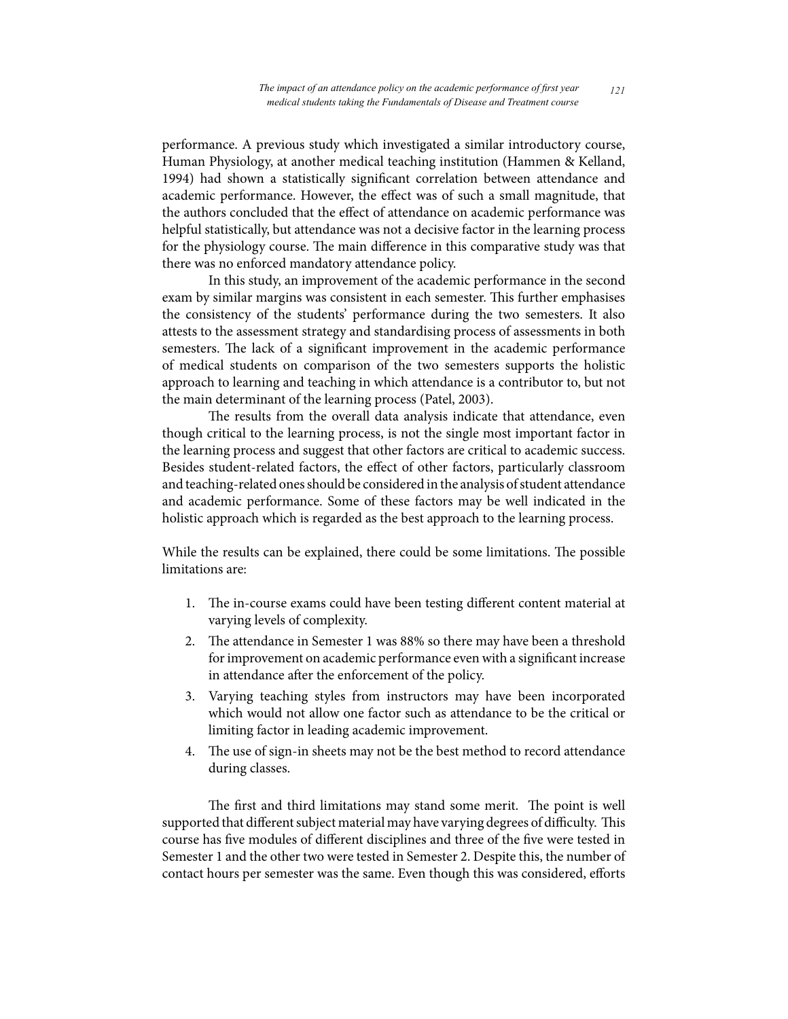performance. A previous study which investigated a similar introductory course, Human Physiology, at another medical teaching institution (Hammen & Kelland, 1994) had shown a statistically significant correlation between attendance and academic performance. However, the effect was of such a small magnitude, that the authors concluded that the effect of attendance on academic performance was helpful statistically, but attendance was not a decisive factor in the learning process for the physiology course. The main difference in this comparative study was that there was no enforced mandatory attendance policy.

In this study, an improvement of the academic performance in the second exam by similar margins was consistent in each semester. This further emphasises the consistency of the students' performance during the two semesters. It also attests to the assessment strategy and standardising process of assessments in both semesters. The lack of a significant improvement in the academic performance of medical students on comparison of the two semesters supports the holistic approach to learning and teaching in which attendance is a contributor to, but not the main determinant of the learning process (Patel, 2003).

The results from the overall data analysis indicate that attendance, even though critical to the learning process, is not the single most important factor in the learning process and suggest that other factors are critical to academic success. Besides student-related factors, the effect of other factors, particularly classroom and teaching-related ones should be considered in the analysis of student attendance and academic performance. Some of these factors may be well indicated in the holistic approach which is regarded as the best approach to the learning process.

While the results can be explained, there could be some limitations. The possible limitations are:

- 1. The in-course exams could have been testing different content material at varying levels of complexity.
- 2. The attendance in Semester 1 was 88% so there may have been a threshold for improvement on academic performance even with a significant increase in attendance after the enforcement of the policy.
- 3. Varying teaching styles from instructors may have been incorporated which would not allow one factor such as attendance to be the critical or limiting factor in leading academic improvement.
- 4. The use of sign-in sheets may not be the best method to record attendance during classes.

The first and third limitations may stand some merit. The point is well supported that different subject material may have varying degrees of difficulty. This course has five modules of different disciplines and three of the five were tested in Semester 1 and the other two were tested in Semester 2. Despite this, the number of contact hours per semester was the same. Even though this was considered, efforts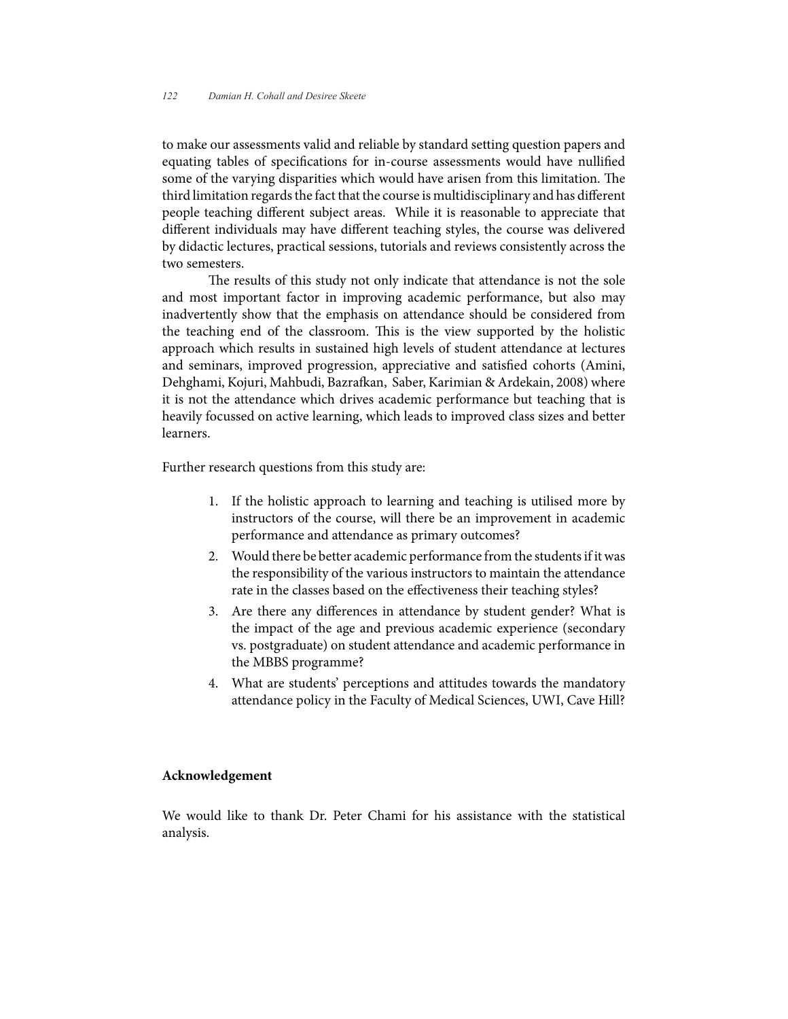to make our assessments valid and reliable by standard setting question papers and equating tables of specifications for in-course assessments would have nullified some of the varying disparities which would have arisen from this limitation. The third limitation regards the fact that the course is multidisciplinary and has different people teaching different subject areas. While it is reasonable to appreciate that different individuals may have different teaching styles, the course was delivered by didactic lectures, practical sessions, tutorials and reviews consistently across the two semesters.

The results of this study not only indicate that attendance is not the sole and most important factor in improving academic performance, but also may inadvertently show that the emphasis on attendance should be considered from the teaching end of the classroom. This is the view supported by the holistic approach which results in sustained high levels of student attendance at lectures and seminars, improved progression, appreciative and satisfied cohorts (Amini, Dehghami, Kojuri, Mahbudi, Bazrafkan, Saber, Karimian & Ardekain, 2008) where it is not the attendance which drives academic performance but teaching that is heavily focussed on active learning, which leads to improved class sizes and better learners.

Further research questions from this study are:

- 1. If the holistic approach to learning and teaching is utilised more by instructors of the course, will there be an improvement in academic performance and attendance as primary outcomes?
- 2. Would there be better academic performance from the students if it was the responsibility of the various instructors to maintain the attendance rate in the classes based on the effectiveness their teaching styles?
- 3. Are there any differences in attendance by student gender? What is the impact of the age and previous academic experience (secondary vs. postgraduate) on student attendance and academic performance in the MBBS programme?
- 4. What are students' perceptions and attitudes towards the mandatory attendance policy in the Faculty of Medical Sciences, UWI, Cave Hill?

#### **Acknowledgement**

We would like to thank Dr. Peter Chami for his assistance with the statistical analysis.